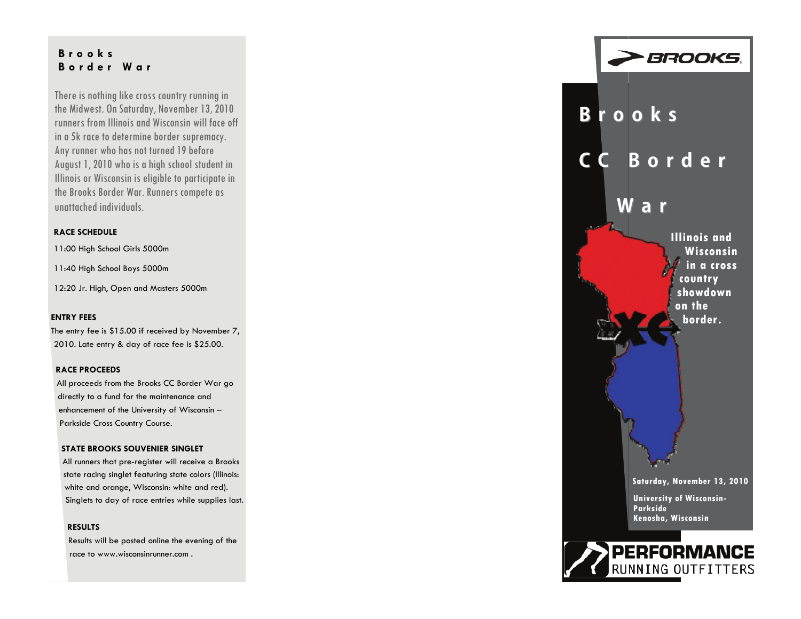## **Brooks Border War**

There is nothing like cross country running in the Midwest. On Saturday, November 13, 2010 runners from Illinois and Wisconsin will face off in a 5k race to determine border supremacy. Any runner who has not turned 19 before August 1, 2010 who is a high school student in Illinois or Wisconsin is eligible to participate in the Brooks Border War. Runners compete as unattached individuals.

#### **RACE SCHEDULE**

11:00 High School Girls 5000m

11:40 High School Boys 5000m

12:20 Jr. High, Open and Masters 5000m

#### **ENTRY FEES**

The entry fee is \$15.00 if received by November 7, 2010. Late entry & day of race fee is \$25.00.

#### **RACE PROCEEDS**

All proceeds from the Brooks CC Border War go directly to a fund for the maintenance and enhancement of the University of Wisconsin – Parkside Cross Country Course.

#### **STATE BROOKS SOUVENIER SINGLET**

All runners that pre-register will receive a Brooks state racing singlet featuring state colors (Illinois: white and orange, Wisconsin: white and red). Singlets to day of race entries while supplies last.

#### **RESULTS**

Results will be posted online the evening of the race to www.wisconsinrunner.com .